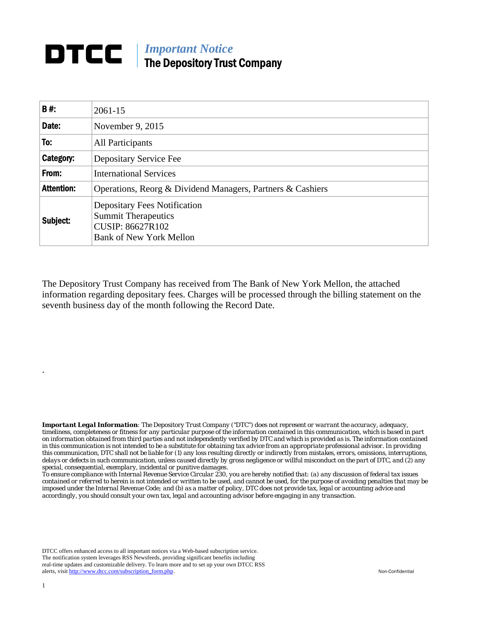## **DTCC** | *Important Notice* The Depository Trust Company

| B#:               | $2061 - 15$                                                                                                                    |
|-------------------|--------------------------------------------------------------------------------------------------------------------------------|
| Date:             | November 9, 2015                                                                                                               |
| To:               | All Participants                                                                                                               |
| Category:         | Depositary Service Fee                                                                                                         |
| From:             | <b>International Services</b>                                                                                                  |
| <b>Attention:</b> | Operations, Reorg & Dividend Managers, Partners & Cashiers                                                                     |
| Subject:          | <b>Depositary Fees Notification</b><br><b>Summit Therapeutics</b><br><b>CUSIP: 86627R102</b><br><b>Bank of New York Mellon</b> |

The Depository Trust Company has received from The Bank of New York Mellon, the attached information regarding depositary fees. Charges will be processed through the billing statement on the seventh business day of the month following the Record Date.

*Important Legal Information: The Depository Trust Company ("DTC") does not represent or warrant the accuracy, adequacy, timeliness, completeness or fitness for any particular purpose of the information contained in this communication, which is based in part on information obtained from third parties and not independently verified by DTC and which is provided as is. The information contained in this communication is not intended to be a substitute for obtaining tax advice from an appropriate professional advisor. In providing this communication, DTC shall not be liable for (1) any loss resulting directly or indirectly from mistakes, errors, omissions, interruptions, delays or defects in such communication, unless caused directly by gross negligence or willful misconduct on the part of DTC, and (2) any special, consequential, exemplary, incidental or punitive damages.* 

*To ensure compliance with Internal Revenue Service Circular 230, you are hereby notified that: (a) any discussion of federal tax issues contained or referred to herein is not intended or written to be used, and cannot be used, for the purpose of avoiding penalties that may be imposed under the Internal Revenue Code; and (b) as a matter of policy, DTC does not provide tax, legal or accounting advice and accordingly, you should consult your own tax, legal and accounting advisor before engaging in any transaction.*

DTCC offers enhanced access to all important notices via a Web-based subscription service. The notification system leverages RSS Newsfeeds, providing significant benefits including real-time updates and customizable delivery. To learn more and to set up your own DTCC RSS alerts, visit http://www.dtcc.com/subscription\_form.php. Non-Confidential

.